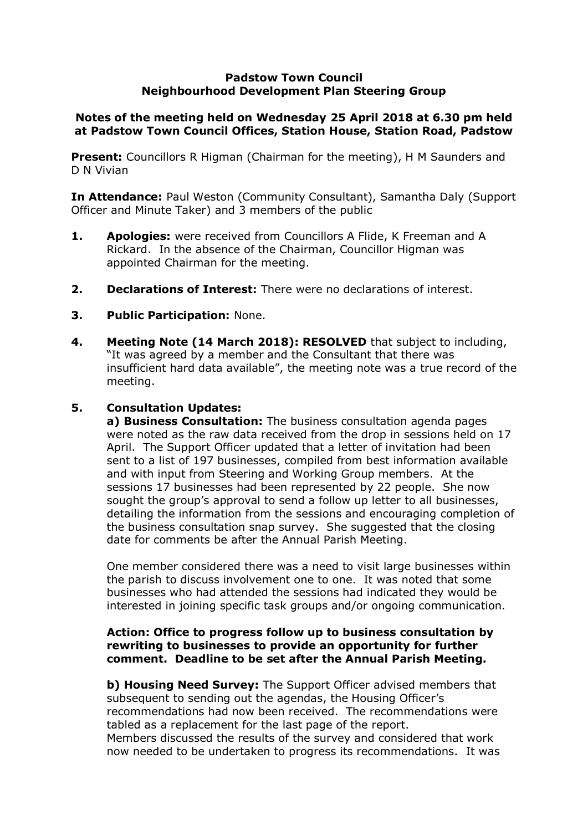### **Padstow Town Council Neighbourhood Development Plan Steering Group**

# **Notes of the meeting held on Wednesday 25 April 2018 at 6.30 pm held at Padstow Town Council Offices, Station House, Station Road, Padstow**

**Present:** Councillors R Higman (Chairman for the meeting), H M Saunders and D N Vivian

**In Attendance:** Paul Weston (Community Consultant), Samantha Daly (Support Officer and Minute Taker) and 3 members of the public

- **1. Apologies:** were received from Councillors A Flide, K Freeman and A Rickard. In the absence of the Chairman, Councillor Higman was appointed Chairman for the meeting.
- **2. Declarations of Interest:** There were no declarations of interest.
- **3. Public Participation:** None.
- **4. Meeting Note (14 March 2018): RESOLVED** that subject to including, "It was agreed by a member and the Consultant that there was insufficient hard data available", the meeting note was a true record of the meeting.

## **5. Consultation Updates:**

**a) Business Consultation:** The business consultation agenda pages were noted as the raw data received from the drop in sessions held on 17 April. The Support Officer updated that a letter of invitation had been sent to a list of 197 businesses, compiled from best information available and with input from Steering and Working Group members. At the sessions 17 businesses had been represented by 22 people. She now sought the group's approval to send a follow up letter to all businesses, detailing the information from the sessions and encouraging completion of the business consultation snap survey. She suggested that the closing date for comments be after the Annual Parish Meeting.

One member considered there was a need to visit large businesses within the parish to discuss involvement one to one. It was noted that some businesses who had attended the sessions had indicated they would be interested in joining specific task groups and/or ongoing communication.

### **Action: Office to progress follow up to business consultation by rewriting to businesses to provide an opportunity for further comment. Deadline to be set after the Annual Parish Meeting.**

**b) Housing Need Survey:** The Support Officer advised members that subsequent to sending out the agendas, the Housing Officer's recommendations had now been received. The recommendations were tabled as a replacement for the last page of the report. Members discussed the results of the survey and considered that work now needed to be undertaken to progress its recommendations. It was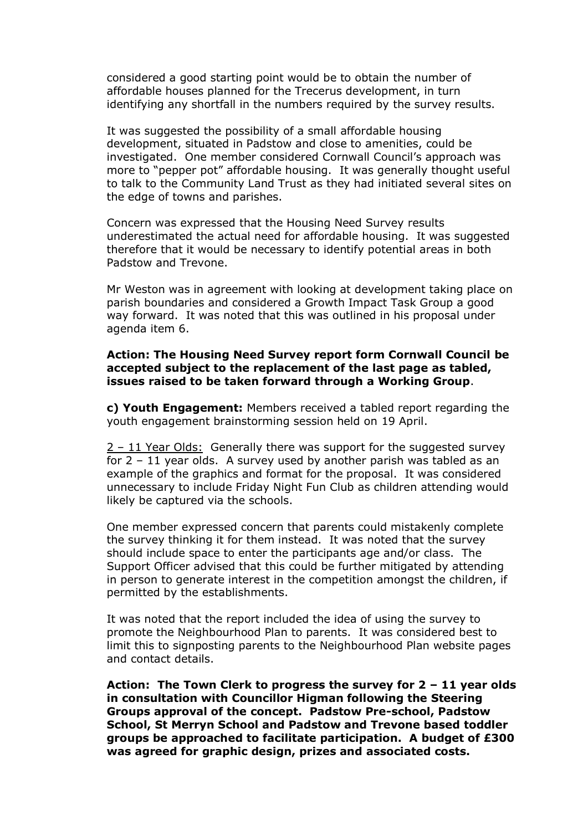considered a good starting point would be to obtain the number of affordable houses planned for the Trecerus development, in turn identifying any shortfall in the numbers required by the survey results.

It was suggested the possibility of a small affordable housing development, situated in Padstow and close to amenities, could be investigated. One member considered Cornwall Council's approach was more to "pepper pot" affordable housing. It was generally thought useful to talk to the Community Land Trust as they had initiated several sites on the edge of towns and parishes.

Concern was expressed that the Housing Need Survey results underestimated the actual need for affordable housing. It was suggested therefore that it would be necessary to identify potential areas in both Padstow and Trevone.

Mr Weston was in agreement with looking at development taking place on parish boundaries and considered a Growth Impact Task Group a good way forward. It was noted that this was outlined in his proposal under agenda item 6.

#### **Action: The Housing Need Survey report form Cornwall Council be accepted subject to the replacement of the last page as tabled, issues raised to be taken forward through a Working Group**.

**c) Youth Engagement:** Members received a tabled report regarding the youth engagement brainstorming session held on 19 April.

2 – 11 Year Olds: Generally there was support for the suggested survey for 2 – 11 year olds. A survey used by another parish was tabled as an example of the graphics and format for the proposal. It was considered unnecessary to include Friday Night Fun Club as children attending would likely be captured via the schools.

One member expressed concern that parents could mistakenly complete the survey thinking it for them instead. It was noted that the survey should include space to enter the participants age and/or class. The Support Officer advised that this could be further mitigated by attending in person to generate interest in the competition amongst the children, if permitted by the establishments.

It was noted that the report included the idea of using the survey to promote the Neighbourhood Plan to parents. It was considered best to limit this to signposting parents to the Neighbourhood Plan website pages and contact details.

**Action: The Town Clerk to progress the survey for 2 – 11 year olds in consultation with Councillor Higman following the Steering Groups approval of the concept. Padstow Pre-school, Padstow School, St Merryn School and Padstow and Trevone based toddler groups be approached to facilitate participation. A budget of £300 was agreed for graphic design, prizes and associated costs.**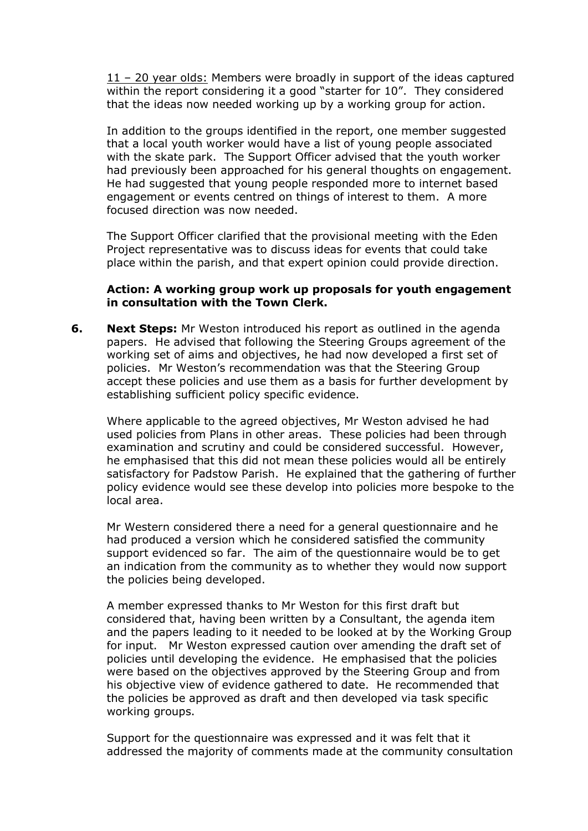11 – 20 year olds: Members were broadly in support of the ideas captured within the report considering it a good "starter for 10". They considered that the ideas now needed working up by a working group for action.

In addition to the groups identified in the report, one member suggested that a local youth worker would have a list of young people associated with the skate park. The Support Officer advised that the youth worker had previously been approached for his general thoughts on engagement. He had suggested that young people responded more to internet based engagement or events centred on things of interest to them. A more focused direction was now needed.

The Support Officer clarified that the provisional meeting with the Eden Project representative was to discuss ideas for events that could take place within the parish, and that expert opinion could provide direction.

### **Action: A working group work up proposals for youth engagement in consultation with the Town Clerk.**

**6. Next Steps:** Mr Weston introduced his report as outlined in the agenda papers. He advised that following the Steering Groups agreement of the working set of aims and objectives, he had now developed a first set of policies. Mr Weston's recommendation was that the Steering Group accept these policies and use them as a basis for further development by establishing sufficient policy specific evidence.

Where applicable to the agreed objectives, Mr Weston advised he had used policies from Plans in other areas. These policies had been through examination and scrutiny and could be considered successful. However, he emphasised that this did not mean these policies would all be entirely satisfactory for Padstow Parish. He explained that the gathering of further policy evidence would see these develop into policies more bespoke to the local area.

Mr Western considered there a need for a general questionnaire and he had produced a version which he considered satisfied the community support evidenced so far. The aim of the questionnaire would be to get an indication from the community as to whether they would now support the policies being developed.

A member expressed thanks to Mr Weston for this first draft but considered that, having been written by a Consultant, the agenda item and the papers leading to it needed to be looked at by the Working Group for input. Mr Weston expressed caution over amending the draft set of policies until developing the evidence. He emphasised that the policies were based on the objectives approved by the Steering Group and from his objective view of evidence gathered to date. He recommended that the policies be approved as draft and then developed via task specific working groups.

Support for the questionnaire was expressed and it was felt that it addressed the majority of comments made at the community consultation